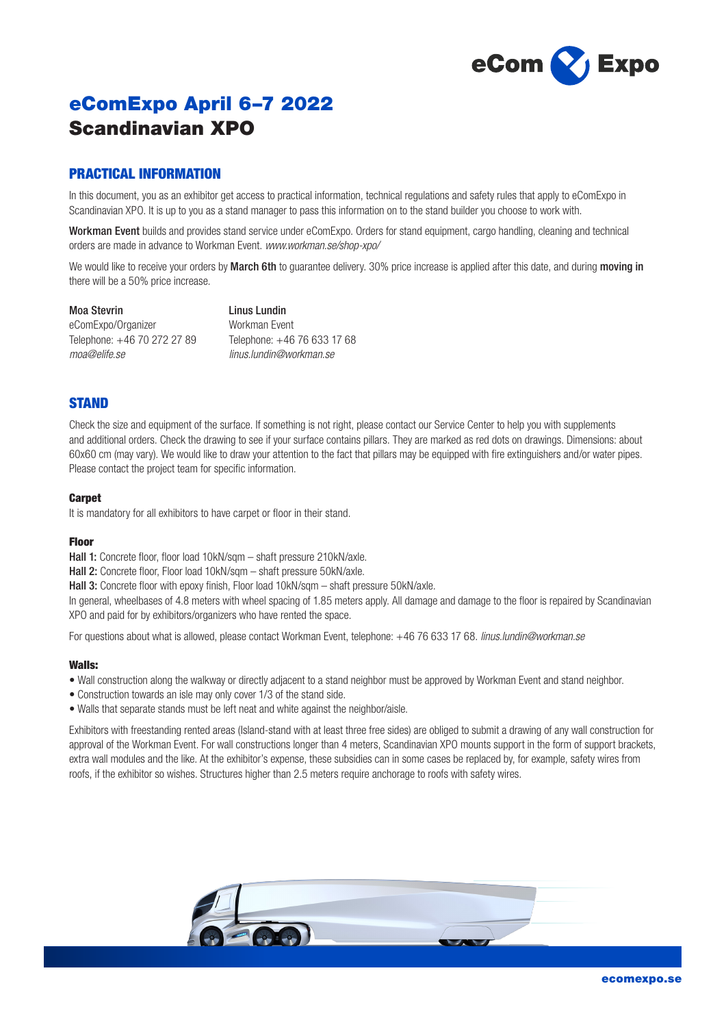

# eComExpo April 6–7 2022 Scandinavian XPO

# PRACTICAL INFORMATION

In this document, you as an exhibitor get access to practical information, technical regulations and safety rules that apply to eComExpo in Scandinavian XPO. It is up to you as a stand manager to pass this information on to the stand builder you choose to work with.

Workman Event builds and provides stand service under eComExpo. Orders for stand equipment, cargo handling, cleaning and technical orders are made in advance to Workman Event. *www.workman.se/shop-xpo/*

We would like to receive your orders by March 6th to quarantee delivery. 30% price increase is applied after this date, and during moving in there will be a 50% price increase.

Moa Stevrin eComExpo/Organizer Telephone: +46 70 272 27 89 *moa@elife.se*

Linus Lundin Workman Event Telephone: +46 76 633 17 68 *linus.lundin@workman.se*

## **STAND**

Check the size and equipment of the surface. If something is not right, please contact our Service Center to help you with supplements and additional orders. Check the drawing to see if your surface contains pillars. They are marked as red dots on drawings. Dimensions: about 60x60 cm (may vary). We would like to draw your attention to the fact that pillars may be equipped with fire extinguishers and/or water pipes. Please contact the project team for specific information.

### **Carpet**

It is mandatory for all exhibitors to have carpet or floor in their stand.

## Floor

Hall 1: Concrete floor, floor load 10kN/sqm – shaft pressure 210kN/axle.

Hall 2: Concrete floor, Floor load 10kN/sqm – shaft pressure 50kN/axle.

Hall 3: Concrete floor with epoxy finish, Floor load 10kN/sqm – shaft pressure 50kN/axle.

In general, wheelbases of 4.8 meters with wheel spacing of 1.85 meters apply. All damage and damage to the floor is repaired by Scandinavian XPO and paid for by exhibitors/organizers who have rented the space.

For questions about what is allowed, please contact Workman Event, telephone: +46 76 633 17 68. *linus.lundin@workman.se*

## Walls:

- Wall construction along the walkway or directly adjacent to a stand neighbor must be approved by Workman Event and stand neighbor.
- Construction towards an isle may only cover 1/3 of the stand side.
- Walls that separate stands must be left neat and white against the neighbor/aisle.

Exhibitors with freestanding rented areas (Island-stand with at least three free sides) are obliged to submit a drawing of any wall construction for approval of the Workman Event. For wall constructions longer than 4 meters, Scandinavian XPO mounts support in the form of support brackets, extra wall modules and the like. At the exhibitor's expense, these subsidies can in some cases be replaced by, for example, safety wires from roofs, if the exhibitor so wishes. Structures higher than 2.5 meters require anchorage to roofs with safety wires.

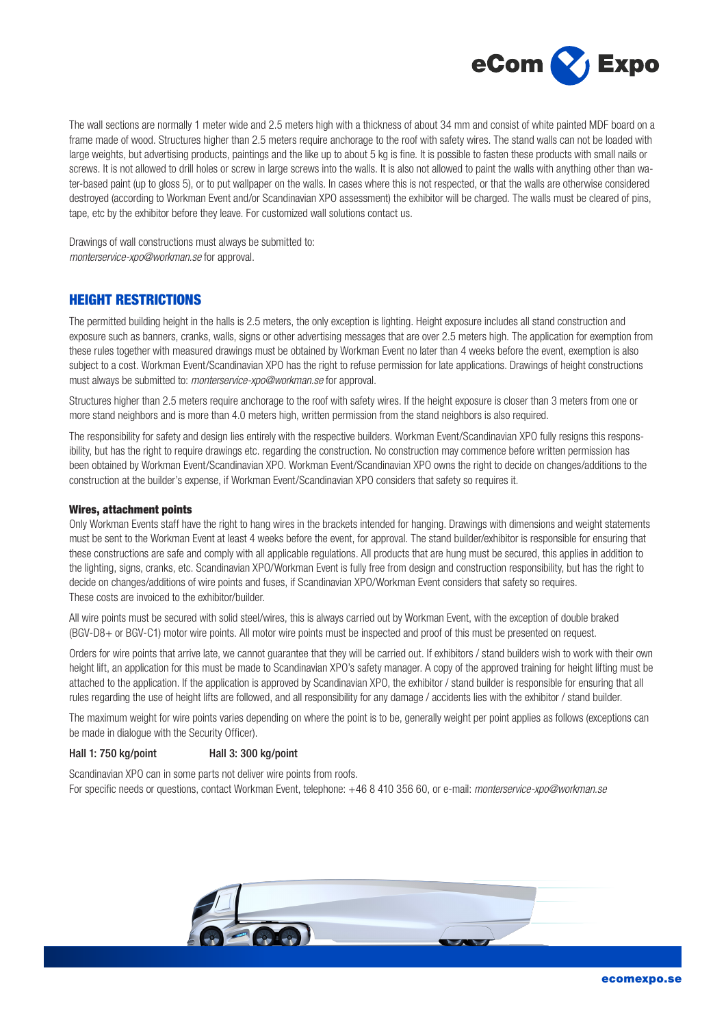

The wall sections are normally 1 meter wide and 2.5 meters high with a thickness of about 34 mm and consist of white painted MDF board on a frame made of wood. Structures higher than 2.5 meters require anchorage to the roof with safety wires. The stand walls can not be loaded with large weights, but advertising products, paintings and the like up to about 5 kg is fine. It is possible to fasten these products with small nails or screws. It is not allowed to drill holes or screw in large screws into the walls. It is also not allowed to paint the walls with anything other than water-based paint (up to gloss 5), or to put wallpaper on the walls. In cases where this is not respected, or that the walls are otherwise considered destroyed (according to Workman Event and/or Scandinavian XPO assessment) the exhibitor will be charged. The walls must be cleared of pins, tape, etc by the exhibitor before they leave. For customized wall solutions contact us.

Drawings of wall constructions must always be submitted to: *monterservice-xpo@workman.se* for approval.

# HEIGHT RESTRICTIONS

The permitted building height in the halls is 2.5 meters, the only exception is lighting. Height exposure includes all stand construction and exposure such as banners, cranks, walls, signs or other advertising messages that are over 2.5 meters high. The application for exemption from these rules together with measured drawings must be obtained by Workman Event no later than 4 weeks before the event, exemption is also subject to a cost. Workman Event/Scandinavian XPO has the right to refuse permission for late applications. Drawings of height constructions must always be submitted to: *monterservice-xpo@workman.se* for approval.

Structures higher than 2.5 meters require anchorage to the roof with safety wires. If the height exposure is closer than 3 meters from one or more stand neighbors and is more than 4.0 meters high, written permission from the stand neighbors is also required.

The responsibility for safety and design lies entirely with the respective builders. Workman Event/Scandinavian XPO fully resigns this responsibility, but has the right to require drawings etc. regarding the construction. No construction may commence before written permission has been obtained by Workman Event/Scandinavian XPO. Workman Event/Scandinavian XPO owns the right to decide on changes/additions to the construction at the builder's expense, if Workman Event/Scandinavian XPO considers that safety so requires it.

### Wires, attachment points

Only Workman Events staff have the right to hang wires in the brackets intended for hanging. Drawings with dimensions and weight statements must be sent to the Workman Event at least 4 weeks before the event, for approval. The stand builder/exhibitor is responsible for ensuring that these constructions are safe and comply with all applicable regulations. All products that are hung must be secured, this applies in addition to the lighting, signs, cranks, etc. Scandinavian XPO/Workman Event is fully free from design and construction responsibility, but has the right to decide on changes/additions of wire points and fuses, if Scandinavian XPO/Workman Event considers that safety so requires. These costs are invoiced to the exhibitor/builder.

All wire points must be secured with solid steel/wires, this is always carried out by Workman Event, with the exception of double braked (BGV-D8+ or BGV-C1) motor wire points. All motor wire points must be inspected and proof of this must be presented on request.

Orders for wire points that arrive late, we cannot guarantee that they will be carried out. If exhibitors / stand builders wish to work with their own height lift, an application for this must be made to Scandinavian XPO's safety manager. A copy of the approved training for height lifting must be attached to the application. If the application is approved by Scandinavian XPO, the exhibitor / stand builder is responsible for ensuring that all rules regarding the use of height lifts are followed, and all responsibility for any damage / accidents lies with the exhibitor / stand builder.

The maximum weight for wire points varies depending on where the point is to be, generally weight per point applies as follows (exceptions can be made in dialogue with the Security Officer).

### Hall 1: 750 kg/point Hall 3: 300 kg/point

Scandinavian XPO can in some parts not deliver wire points from roofs. For specific needs or questions, contact Workman Event, telephone: +46 8 410 356 60, or e-mail: *monterservice-xpo@workman.se*

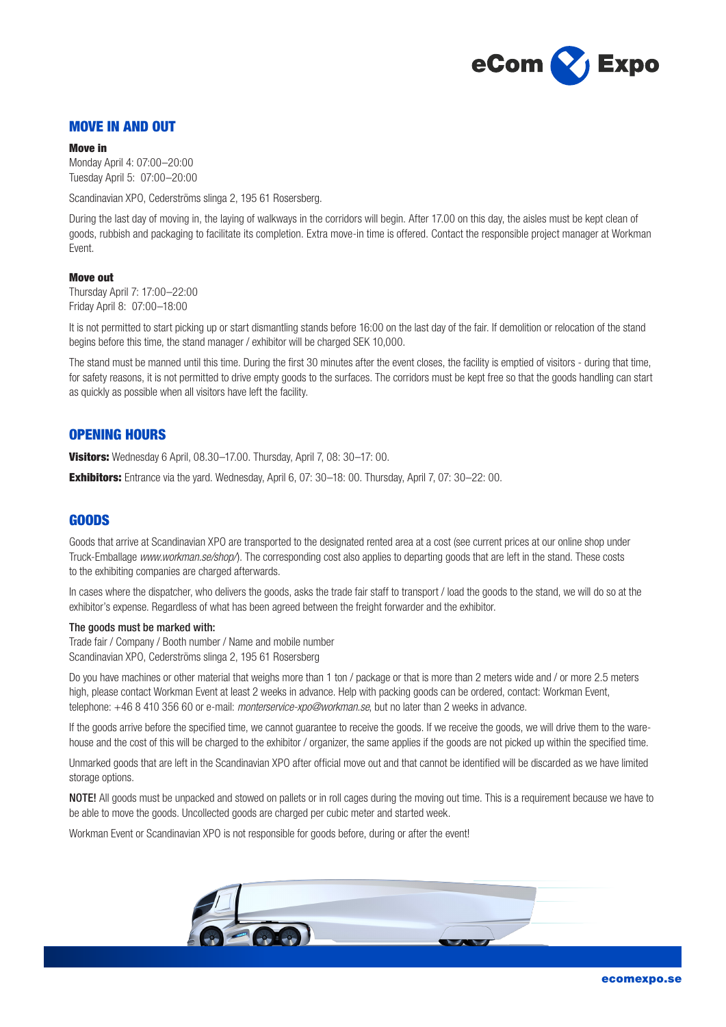

## MOVE IN AND OUT

#### Move in

Monday April 4: 07:00–20:00 Tuesday April 5: 07:00–20:00

Scandinavian XPO, Cederströms slinga 2, 195 61 Rosersberg.

During the last day of moving in, the laying of walkways in the corridors will begin. After 17.00 on this day, the aisles must be kept clean of goods, rubbish and packaging to facilitate its completion. Extra move-in time is offered. Contact the responsible project manager at Workman Event.

#### Move out

Thursday April 7: 17:00–22:00 Friday April 8: 07:00–18:00

It is not permitted to start picking up or start dismantling stands before 16:00 on the last day of the fair. If demolition or relocation of the stand begins before this time, the stand manager / exhibitor will be charged SEK 10,000.

The stand must be manned until this time. During the first 30 minutes after the event closes, the facility is emptied of visitors - during that time, for safety reasons, it is not permitted to drive empty goods to the surfaces. The corridors must be kept free so that the goods handling can start as quickly as possible when all visitors have left the facility.

## OPENING HOURS

Visitors: Wednesday 6 April, 08.30-17.00. Thursday, April 7, 08: 30-17: 00.

Exhibitors: Entrance via the yard. Wednesday, April 6, 07: 30-18: 00. Thursday, April 7, 07: 30-22: 00.

## GOODS

Goods that arrive at Scandinavian XPO are transported to the designated rented area at a cost (see current prices at our online shop under Truck-Emballage *www.workman.se/shop/*). The corresponding cost also applies to departing goods that are left in the stand. These costs to the exhibiting companies are charged afterwards.

In cases where the dispatcher, who delivers the goods, asks the trade fair staff to transport / load the goods to the stand, we will do so at the exhibitor's expense. Regardless of what has been agreed between the freight forwarder and the exhibitor.

#### The goods must be marked with:

Trade fair / Company / Booth number / Name and mobile number Scandinavian XPO, Cederströms slinga 2, 195 61 Rosersberg

Do you have machines or other material that weighs more than 1 ton / package or that is more than 2 meters wide and / or more 2.5 meters high, please contact Workman Event at least 2 weeks in advance. Help with packing goods can be ordered, contact: Workman Event, telephone: +46 8 410 356 60 or e-mail: *monterservice-xpo@workman.se*, but no later than 2 weeks in advance.

If the goods arrive before the specified time, we cannot guarantee to receive the goods. If we receive the goods, we will drive them to the warehouse and the cost of this will be charged to the exhibitor / organizer, the same applies if the goods are not picked up within the specified time.

Unmarked goods that are left in the Scandinavian XPO after official move out and that cannot be identified will be discarded as we have limited storage options.

NOTE! All goods must be unpacked and stowed on pallets or in roll cages during the moving out time. This is a requirement because we have to be able to move the goods. Uncollected goods are charged per cubic meter and started week.

Workman Event or Scandinavian XPO is not responsible for goods before, during or after the event!